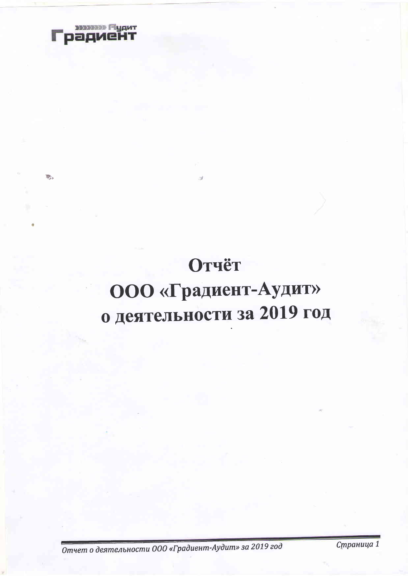

D.

# Отчёт ООО «Градиент-Аудит» о деятельности за 2019 год

Отчет о деятельности ООО «Градиент-Аудит» за 2019 год

Страница 1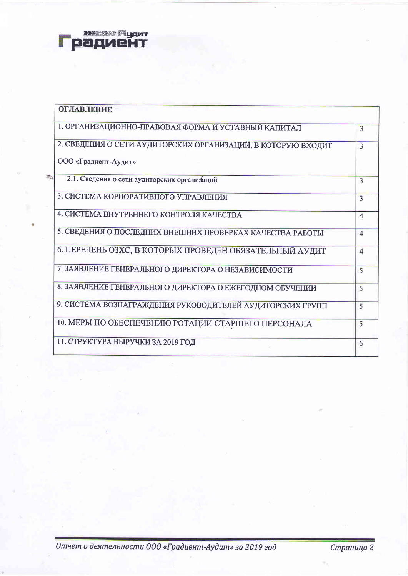

際

| <b>ОГЛАВЛЕНИЕ</b>                                            |                         |
|--------------------------------------------------------------|-------------------------|
| 1. ОРГАНИЗАЦИОННО-ПРАВОВАЯ ФОРМА И УСТАВНЫЙ КАПИТАЛ          | 3                       |
| 2. СВЕДЕНИЯ О СЕТИ АУДИТОРСКИХ ОРГАНИЗАЦИЙ, В КОТОРУЮ ВХОДИТ | 3                       |
| ООО «Градиент-Аудит»                                         |                         |
| 2.1. Сведения о сети аудиторских организаций                 | 3                       |
| 3. СИСТЕМА КОРПОРАТИВНОГО УПРАВЛЕНИЯ                         | $\overline{\mathbf{3}}$ |
| 4. СИСТЕМА ВНУТРЕННЕГО КОНТРОЛЯ КАЧЕСТВА                     | $\overline{4}$          |
| 5. СВЕДЕНИЯ О ПОСЛЕДНИХ ВНЕШНИХ ПРОВЕРКАХ КАЧЕСТВА РАБОТЫ    | $\overline{4}$          |
| 6. ПЕРЕЧЕНЬ ОЗХС, В КОТОРЫХ ПРОВЕДЕН ОБЯЗАТЕЛЬНЫЙ АУДИТ      | $\overline{4}$          |
| 7. ЗАЯВЛЕНИЕ ГЕНЕРАЛЬНОГО ДИРЕКТОРА О НЕЗАВИСИМОСТИ          | 5                       |
| 8. ЗАЯВЛЕНИЕ ГЕНЕРАЛЬНОГО ДИРЕКТОРА О ЕЖЕГОДНОМ ОБУЧЕНИИ     | 5                       |
| 9. СИСТЕМА ВОЗНАГРАЖДЕНИЯ РУКОВОДИТЕЛЕЙ АУДИТОРСКИХ ГРУПП    | 5                       |
| 10. МЕРЫ ПО ОБЕСПЕЧЕНИЮ РОТАЦИИ СТАРШЕГО ПЕРСОНАЛА           | 5                       |
| 11. СТРУКТУРА ВЫРУЧКИ ЗА 2019 ГОД                            | 6                       |

Отчет о деятельности ООО «Градиент-Аудит» за 2019 год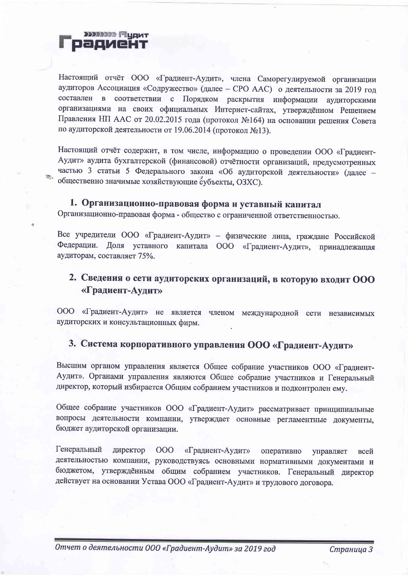

Настоящий отчёт ООО «Градиент-Аудит», члена Саморегулируемой организации аудиторов Ассоциация «Содружество» (далее - СРО ААС) о деятельности за 2019 год составлен в соответствии с Порядком раскрытия информации аудиторскими организациями на своих официальных Интернет-сайтах, утверждённом Решением Правления НП ААС от 20.02.2015 года (протокол №164) на основании решения Совета по аудиторской деятельности от 19.06.2014 (протокол №13).

Настоящий отчёт содержит, в том числе, информацию о проведении ООО «Градиент-Аудит» аудита бухгалтерской (финансовой) отчётности организаций, предусмотренных частью 3 статьи 5 Федерального закона «Об аудиторской деятельности» (далее общественно значимые хозяйствующие субъекты, ОЗХС).

#### 1. Организационно-правовая форма и уставный капитал

Организационно-правовая форма - общество с ограниченной ответственностью.

Все учредители ООО «Градиент-Аудит» - физические лица, граждане Российской Федерации. Доля уставного капитала ООО «Градиент-Аудит», принадлежащая аудиторам, составляет 75%.

### 2. Сведения о сети аудиторских организаций, в которую входит ООО «Градиент-Аудит»

ООО «Градиент-Аудит» не является членом международной сети независимых аудиторских и консультационных фирм.

## 3. Система корпоративного управления ООО «Градиент-Аудит»

Высшим органом управления является Общее собрание участников ООО «Градиент-Аудит». Органами управления являются Общее собрание участников и Генеральный директор, который избирается Общим собранием участников и подконтролен ему.

Общее собрание участников ООО «Градиент-Аудит» рассматривает принципиальные вопросы деятельности компании, утверждает основные регламентные документы, бюджет аудиторской организации.

Генеральный директор 000 «Градиент-Аудит» оперативно управляет всей деятельностью компании, руководствуясь основными нормативными документами и бюджетом, утверждённым общим собранием участников. Генеральный директор действует на основании Устава ООО «Градиент-Аудит» и трудового договора.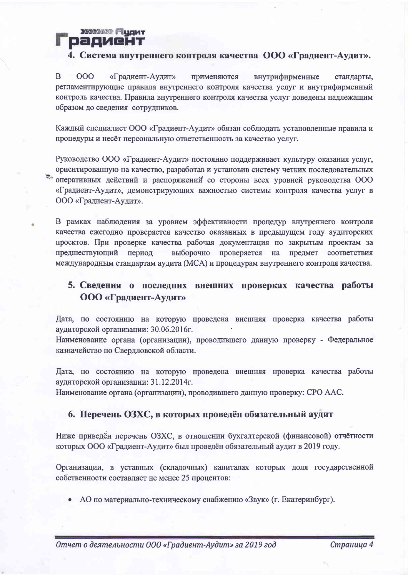**ЭЗУЗЗЭЭ** Пудит pagyeht

#### 4. Система внутреннего контроля качества ООО «Градиент-Аудит».

B 000 «Градиент-Аудит» применяются внутрифирменные стандарты, регламентирующие правила внутреннего контроля качества услуг и внутрифирменный контроль качества. Правила внутреннего контроля качества услуг доведены надлежащим образом до сведения сотрудников.

Каждый специалист ООО «Градиент-Аудит» обязан соблюдать установленные правила и процедуры и несёт персональную ответственность за качество услуг.

Руководство ООО «Градиент-Аудит» постоянно поддерживает культуру оказания услуг, ориентированную на качество, разработав и установив систему четких последовательных оперативных действий и распоряжений со стороны всех уровней руководства ООО «Градиент-Аудит», демонстрирующих важностью системы контроля качества услуг в ООО «Градиент-Аудит».

В рамках наблюдения за уровнем эффективности процедур внутреннего контроля качества ежегодно проверяется качество оказанных в предыдущем году аудиторских проектов. При проверке качества рабочая документация по закрытым проектам за выборочно проверяется на предмет соответствия предшествующий период международным стандартам аудита (МСА) и процедурам внутреннего контроля качества.

#### 5. Сведения о последних внешних проверках качества работы **ООО «Градиент-Аудит»**

Дата, по состоянию на которую проведена внешняя проверка качества работы аудиторской организации: 30.06.2016г.

Наименование органа (организации), проводившего данную проверку - Федеральное казначейство по Свердловской области.

Дата, по состоянию на которую проведена внешняя проверка качества работы аудиторской организации: 31.12.2014г.

Наименование органа (организации), проводившего данную проверку: СРО ААС.

#### 6. Перечень ОЗХС, в которых проведён обязательный аудит

Ниже приведён перечень ОЗХС, в отношении бухгалтерской (финансовой) отчётности которых ООО «Градиент-Аудит» был проведён обязательный аудит в 2019 году.

Организации, в уставных (складочных) капиталах которых доля государственной собственности составляет не менее 25 процентов:

• АО по материально-техническому снабжению «Звук» (г. Екатеринбург).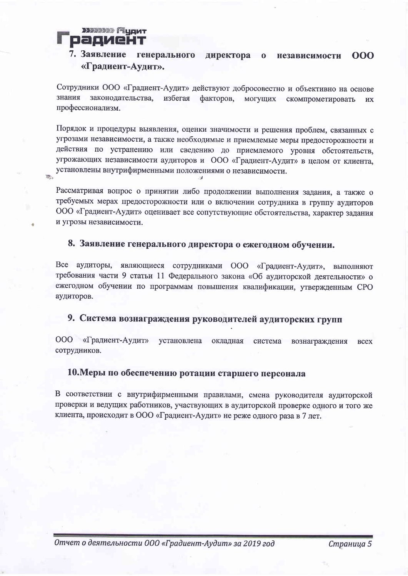#### **ЭЗЭЭЭЭЭ** ГЧЦДИТ радиент

勸

#### 7. Заявление генерального директора о 000 независимости «Градиент-Аудит».

Сотрудники ООО «Градиент-Аудит» действуют добросовестно и объективно на основе знания законодательства, избегая факторов, могущих скомпрометировать **HX** профессионализм.

Порядок и процедуры выявления, оценки значимости и решения проблем, связанных с угрозами независимости, а также необходимые и приемлемые меры предосторожности и действия по устранению или сведению до приемлемого уровня обстоятельств, угрожающих независимости аудиторов и ООО «Градиент-Аудит» в целом от клиента, установлены внутрифирменными положениями о независимости.

Рассматривая вопрос о принятии либо продолжении выполнения задания, а также о требуемых мерах предосторожности или о включении сотрудника в группу аудиторов ООО «Градиент-Аудит» оценивает все сопутствующие обстоятельства, характер задания и угрозы независимости.

#### 8. Заявление генерального директора о ежегодном обучении.

Все аудиторы, являющиеся сотрудниками ООО «Градиент-Аудит», выполняют требования части 9 статьи 11 Федерального закона «Об аудиторской деятельности» о ежегодном обучении по программам повышения квалификации, утвержденным СРО аудиторов.

#### 9. Система вознаграждения руководителей аудиторских групп

ООО «Градиент-Аудит» установлена окладная система вознаграждения **BCCX** сотрудников.

#### 10. Меры по обеспечению ротации старшего персонала

В соответствии с внутрифирменными правилами, смена руководителя аудиторской проверки и ведущих работников, участвующих в аудиторской проверке одного и того же клиента, происходит в ООО «Градиент-Аудит» не реже одного раза в 7 лет.